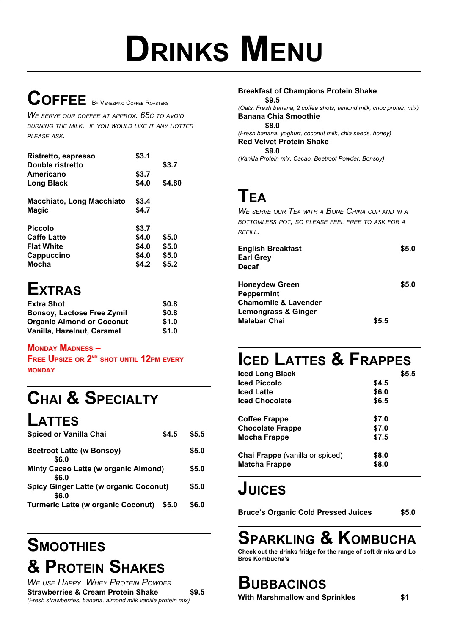# **DRINKS MENU**

# **COFFEE** <sup>B</sup><sup>Y</sup> <sup>V</sup>ENEZIANO <sup>C</sup>OFFEE <sup>R</sup>OASTERS

*W<sup>E</sup> SERVE OUR COFFEE AT APPROX. 65C TO AVOID BURNING THE MILK. IF YOU WOULD LIKE IT ANY HOTTER PLEASE ASK.*

| Ristretto, espresso       | \$3.1 |        |
|---------------------------|-------|--------|
| Double ristretto          |       | \$3.7  |
| Americano                 | \$3.7 |        |
| Long Black                | \$4.0 | \$4.80 |
| Macchiato, Long Macchiato | \$3.4 |        |
| Magic                     | \$4.7 |        |
| <b>Piccolo</b>            | \$3.7 |        |
| <b>Caffe Latte</b>        | \$4.0 | \$5.0  |
| <b>Flat White</b>         | \$4.0 | \$5.0  |
| Cappuccino                | \$4.0 | \$5.0  |
| <b>Mocha</b>              | \$4.2 | \$5.2  |

# **EXTRAS**

| <b>Extra Shot</b>                 | \$0.8 |
|-----------------------------------|-------|
| <b>Bonsoy, Lactose Free Zymil</b> | \$0.8 |
| <b>Organic Almond or Coconut</b>  | \$1.0 |
| Vanilla, Hazelnut, Caramel        | \$1.0 |

#### **MONDAY MADNESS –**

**FREE UPSIZE OR 2ND SHOT UNTIL 12PM EVERY MONDAY**

# **CHAI & SPECIALTY**

**LATTES**

| <b>Spiced or Vanilla Chai</b>                          | \$4.5 | \$5.5 |
|--------------------------------------------------------|-------|-------|
| <b>Beetroot Latte (w Bonsoy)</b><br>\$6.0              |       | \$5.0 |
| Minty Cacao Latte (w organic Almond)<br>\$6.0          |       | \$5.0 |
| <b>Spicy Ginger Latte (w organic Coconut)</b><br>\$6.0 |       | \$5.0 |
| <b>Turmeric Latte (w organic Coconut)</b>              | \$5.0 | \$6.0 |

## **SMOOTHIES & PROTEIN SHAKES**

| <b>WE USE HAPPY WHEY PROTEIN POWDER</b>                       |       |
|---------------------------------------------------------------|-------|
| <b>Strawberries &amp; Cream Protein Shake</b>                 | \$9.5 |
| (Fresh strawberries, banana, almond milk vanilla protein mix) |       |

| <b>Breakfast of Champions Protein Shake</b>                         |
|---------------------------------------------------------------------|
| \$9.5                                                               |
| (Oats, Fresh banana, 2 coffee shots, almond milk, choc protein mix) |
| <b>Banana Chia Smoothie</b>                                         |
| \$8.0                                                               |
| (Fresh banana, yoghurt, coconut milk, chia seeds, honey)            |
| <b>Red Velvet Protein Shake</b>                                     |
| \$9.0                                                               |
| (Vanilla Protein mix, Cacao, Beetroot Powder, Bonsoy)               |
|                                                                     |
|                                                                     |

#### **TEA**

*W<sup>E</sup> SERVE OUR TEA WITH <sup>A</sup> BONE CHINA CUP AND IN <sup>A</sup> BOTTOMLESS POT, SO PLEASE FEEL FREE TO ASK FOR <sup>A</sup> REFILL.*

|       | \$5.0 |
|-------|-------|
|       | \$5.0 |
|       |       |
|       |       |
|       |       |
| \$5.5 |       |
|       |       |

# **ICED LATTES & FRAPPES**

| <b>Iced Long Black</b>                 | \$5.5 |
|----------------------------------------|-------|
| <b>Iced Piccolo</b>                    | \$4.5 |
| <b>Iced Latte</b>                      | \$6.0 |
| <b>Iced Chocolate</b>                  | \$6.5 |
| Coffee Frappe                          | \$7.0 |
| <b>Chocolate Frappe</b>                | \$7.0 |
| Mocha Frappe                           | \$7.5 |
| <b>Chai Frappe</b> (vanilla or spiced) | \$8.0 |
| <b>Matcha Frappe</b>                   | \$8.0 |

### **JUICES**

**Bruce's Organic Cold Pressed Juices \$5.0**

# **SPARKLING & KOMBUCHA**

**Check out the drinks fridge for the range of soft drinks and Lo Bros Kombucha's**

#### **BUBBACINOS**

**With Marshmallow and Sprinkles \$1**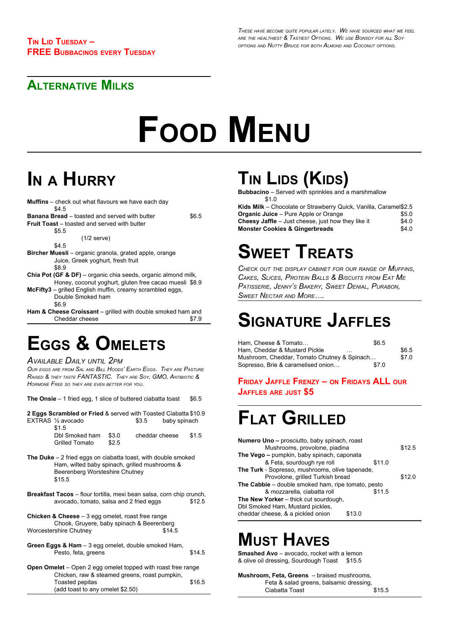#### **ALTERNATIVE MILKS**

# **FOOD MENU**

# **I<sup>N</sup> <sup>A</sup> HURRY**

| <b>Muffins</b> – check out what flavours we have each day                |       |  |
|--------------------------------------------------------------------------|-------|--|
| \$4.5                                                                    |       |  |
| <b>Banana Bread</b> – toasted and served with butter                     | \$6.5 |  |
| <b>Fruit Toast</b> – toasted and served with butter                      |       |  |
| \$5.5                                                                    |       |  |
| $(1/2$ serve)                                                            |       |  |
| \$4.5                                                                    |       |  |
| <b>Bircher Muesli</b> – organic granola, grated apple, orange            |       |  |
| Juice, Greek yoghurt, fresh fruit                                        |       |  |
| \$8.9                                                                    |       |  |
| <b>Chia Pot (GF &amp; DF)</b> – organic chia seeds, organic almond milk, |       |  |
| Honey, coconut yoghurt, gluten free cacao muesli \$8.9                   |       |  |
| McFifty3 – grilled English muffin, creamy scrambled eggs,                |       |  |
| Double Smoked ham                                                        |       |  |
| \$6.9                                                                    |       |  |
| Ham & Cheese Croissant – grilled with double smoked ham and              |       |  |

#### Cheddar cheese \$7.9

## **EGGS & OMELETS**

#### *AVAILABLE DAILY UNTIL 2PM*

OUR EGGS ARE FROM SAL AND BILL HOODS' EARTH EGGS. THEY ARE PASTURE *RAISED & THEY TASTE FANTASTIC. THEY ARE SOY, GMO, ANTIBIOTIC & HORMONE FREE SO THEY ARE EVEN BETTER FOR YOU.*

| <b>The Onsie</b> $-1$ fried egg, 1 slice of buttered ciabatta toast | \$6.5 |
|---------------------------------------------------------------------|-------|
|---------------------------------------------------------------------|-------|

**2 Eggs Scrambled or Fried** & served with Toasted Ciabatta \$10.9 EXTRAS 1/2 avocado \$3.5 baby spinach \$1.5

| ັບ 1. ບ               |       |                |       |
|-----------------------|-------|----------------|-------|
| Dbl Smoked ham        | \$3.0 | cheddar cheese | \$1.5 |
| <b>Grilled Tomato</b> | \$2.5 |                |       |

- **The Duke** 2 fried eggs on ciabatta toast, with double smoked Ham, wilted baby spinach, grilled mushrooms & Beerenberg Worsteshire Chutney \$15.5
- **Breakfast Tacos** flour tortilla, mexi bean salsa, corn chip crunch, avocado, tomato, salsa and 2 fried eggs \$12.5
- **Chicken & Cheese** 3 egg omelet, roast free range Chook, Gruyere, baby spinach & Beerenberg Worcestershire Chutney \$14.5
- **Green Eggs & Ham** 3 egg omelet, double smoked Ham, Pesto, feta, greens  $$14.5$
- **Open Omelet** Open 2 egg omelet topped with roast free range Chicken, raw & steamed greens, roast pumpkin, Toasted pepitas 616.5 (add toast to any omelet \$2.50)

# **TIN LIDS (KIDS)**

**Bubbacino** – Served with sprinkles and a marshmallow  $$10$ 

| Kids Milk - Chocolate or Strawberry Quick, Vanilla, Caramel\$2.5 |       |
|------------------------------------------------------------------|-------|
| <b>Organic Juice</b> – Pure Apple or Orange                      | \$5.0 |
| <b>Cheesy Jaffle</b> $-$ Just cheese, just how they like it      | \$4.0 |
| <b>Monster Cookies &amp; Gingerbreads</b>                        | \$4.0 |

# **SWEET TREATS**

*CHECK OUT THE DISPLAY CABINET FOR OUR RANGE OF MUFFINS, CAKES, SLICES, PROTEIN BALLS & BISCUITS FROM EAT M<sup>E</sup> PATISSERIE, JENNY'<sup>S</sup> BAKERY, SWEET DENIAL, PURABON, SWEET NECTAR AND MORE….*

# **SIGNATURE JAFFLES**

| Ham. Cheese & Tomato                                  | \$6.5 |       |
|-------------------------------------------------------|-------|-------|
| Ham. Cheddar & Mustard Pickle<br>$\sim$ $\sim$ $\sim$ |       | \$6.5 |
| Mushroom, Cheddar, Tomato Chutney & Spinach           |       | \$7.0 |
| Sopresso, Brie & caramelised onion                    | \$7.0 |       |

#### **FRIDAY JAFFLE FRENZY – ON FRIDAYS ALL OUR JAFFLES ARE JUST \$5**

## **FLAT GRILLED**

| <b>Numero Uno - prosciutto, baby spinach, roast</b> |        |
|-----------------------------------------------------|--------|
| Mushrooms, provolone, piadina                       | \$12.5 |
| The Vego - pumpkin, baby spinach, caponata          |        |
| & Feta, sourdough rye roll<br>\$11.0                |        |
| The Turk - Sopresso, mushrooms, olive tapenade,     |        |
| Provolone, grilled Turkish bread                    | \$12.0 |
| The Cabbie – double smoked ham, ripe tomato, pesto  |        |
| & mozzarella, ciabatta roll<br>\$11.5               |        |
| The New Yorker - thick cut sourdough,               |        |
| Dbl Smoked Ham, Mustard pickles,                    |        |
| cheddar cheese, & a pickled onion<br>\$13.0         |        |
|                                                     |        |

# **MUST HAVES**

**Smashed Avo** – avocado, rocket with a lemon & olive oil dressing, Sourdough Toast \$15.5

**Mushroom, Feta, Greens** – braised mushrooms, Feta & salad greens, balsamic dressing, Ciabatta Toast \$15.5